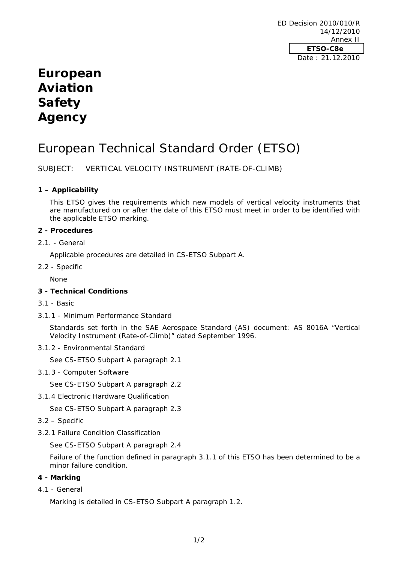ED Decision 2010/010/R 14/12/2010 Annex II **ETSO-C8e**  Date : 21.12.2010

# **European Aviation Safety Agency**

# European Technical Standard Order (ETSO)

SUBJECT: VERTICAL VELOCITY INSTRUMENT (RATE-OF-CLIMB)

### **1 – Applicability**

This ETSO gives the requirements which new models of vertical velocity instruments that are manufactured on or after the date of this ETSO must meet in order to be identified with the applicable ETSO marking.

#### **2 - Procedures**

2.1. - General

Applicable procedures are detailed in CS-ETSO Subpart A.

2.2 - Specific

None

### **3 - Technical Conditions**

- 3.1 Basic
- 3.1.1 Minimum Performance Standard

Standards set forth in the SAE Aerospace Standard (AS) document: AS 8016A "Vertical Velocity Instrument (Rate-of-Climb)" dated September 1996.

#### 3.1.2 - Environmental Standard

See CS-ETSO Subpart A paragraph 2.1

3.1.3 - Computer Software

See CS-ETSO Subpart A paragraph 2.2

3.1.4 Electronic Hardware Qualification

See CS-ETSO Subpart A paragraph 2.3

- 3.2 Specific
- 3.2.1 Failure Condition Classification

See CS-ETSO Subpart A paragraph 2.4

Failure of the function defined in paragraph 3.1.1 of this ETSO has been determined to be a minor failure condition.

#### **4 - Marking**

4.1 - General

Marking is detailed in CS-ETSO Subpart A paragraph 1.2.